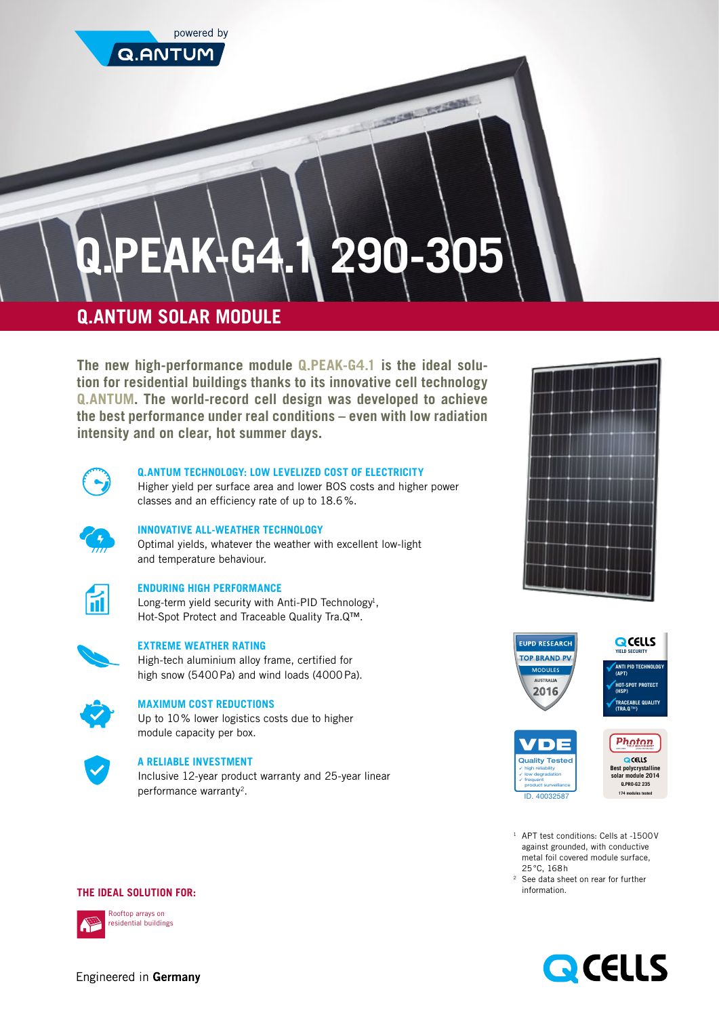powered by **Q.ANTUM** 

# **Q.PEAK-G4.1 290-305**

**CONTRACTOR** 

# **Q.ANTUM solar module**

**The new high-performance module Q.PEAK-G4.1 is the ideal solution for residential buildings thanks to its innovative cell technology Q.ANTUM. The world-record cell design was developed to achieve the best performance under real conditions – even with low radiation intensity and on clear, hot summer days.** 



#### **Q.ANTUM TECHNOLOGY: Low levelized cost of electricity**

Higher yield per surface area and lower BOS costs and higher power classes and an efficiency rate of up to 18.6%.



### **Innovative all-weather technology**

Optimal yields, whatever the weather with excellent low-light and temperature behaviour.



### **Enduring high performance**

Long-term yield security with Anti-PID Technology<sup>1</sup>, Hot-Spot Protect and Traceable Quality Tra.Q™.



## **Extreme Weather rating**

High-tech aluminium alloy frame, certified for high snow (5400Pa) and wind loads (4000Pa).



# **Maximum cost reductions**

Up to 10% lower logistics costs due to higher module capacity per box.



# **A Reliable Investment**

Inclusive 12-year product warranty and 25-year linear performance warranty2.





Rooftop arrays on residential buildings









- <sup>1</sup> APT test conditions: Cells at -1500V against grounded, with conductive metal foil covered module surface, 25°C, 168h
- <sup>2</sup> See data sheet on rear for further information.



Engineered in Germany